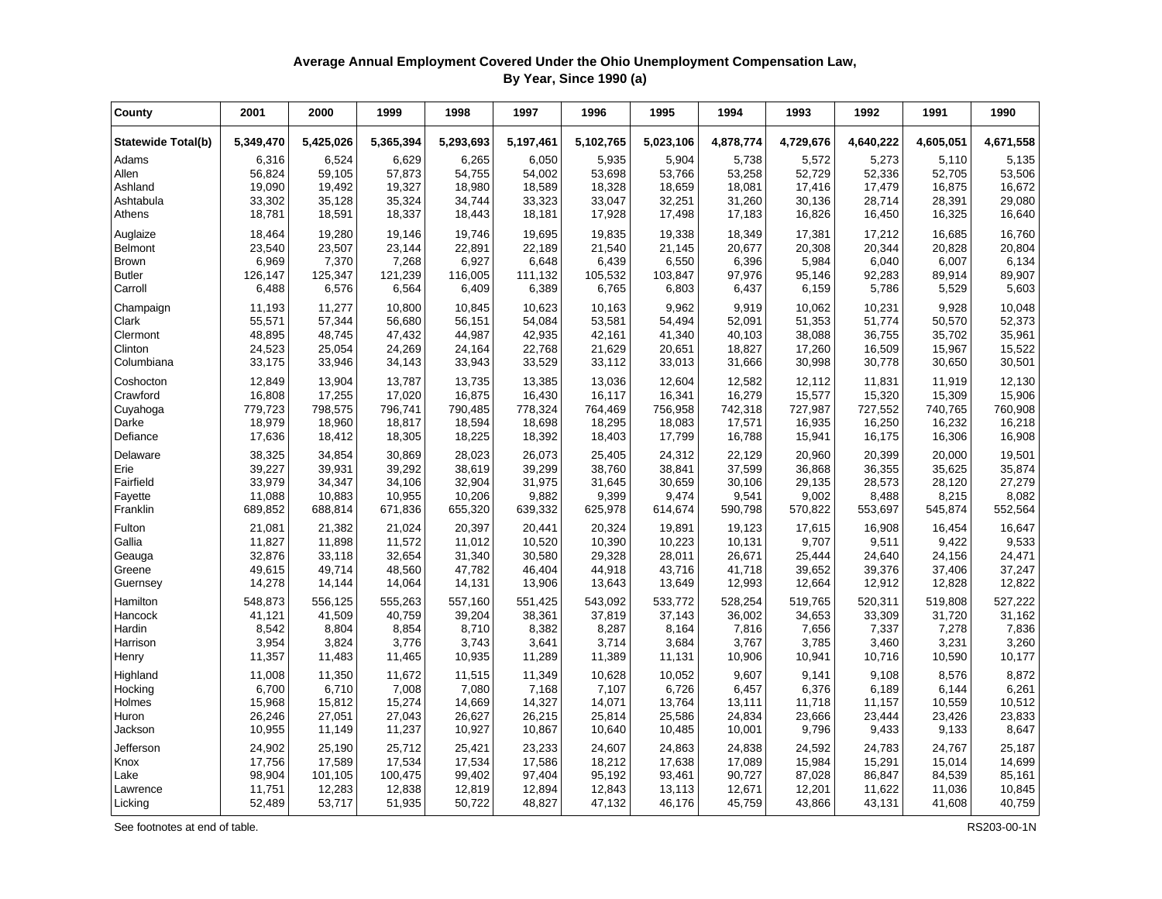## **Average Annual Employment Covered Under the Ohio Unemployment Compensation Law, By Year, Since 1990 (a)**

| County                    | 2001      | 2000      | 1999      | 1998      | 1997      | 1996      | 1995      | 1994      | 1993      | 1992      | 1991      | 1990      |
|---------------------------|-----------|-----------|-----------|-----------|-----------|-----------|-----------|-----------|-----------|-----------|-----------|-----------|
| <b>Statewide Total(b)</b> | 5,349,470 | 5,425,026 | 5,365,394 | 5,293,693 | 5,197,461 | 5,102,765 | 5,023,106 | 4,878,774 | 4,729,676 | 4,640,222 | 4,605,051 | 4,671,558 |
| Adams                     | 6,316     | 6,524     | 6,629     | 6,265     | 6,050     | 5,935     | 5,904     | 5,738     | 5,572     | 5,273     | 5,110     | 5,135     |
| Allen                     | 56,824    | 59,105    | 57,873    | 54,755    | 54,002    | 53,698    | 53,766    | 53,258    | 52,729    | 52,336    | 52,705    | 53,506    |
| Ashland                   | 19,090    | 19,492    | 19,327    | 18,980    | 18,589    | 18,328    | 18,659    | 18,081    | 17,416    | 17,479    | 16,875    | 16,672    |
| Ashtabula                 | 33,302    | 35,128    | 35,324    | 34,744    | 33,323    | 33,047    | 32,251    | 31,260    | 30,136    | 28,714    | 28,391    | 29,080    |
| Athens                    | 18,781    | 18,591    | 18,337    | 18,443    | 18,181    | 17,928    | 17,498    | 17,183    | 16,826    | 16,450    | 16,325    | 16,640    |
| Auglaize                  | 18,464    | 19,280    | 19,146    | 19,746    | 19,695    | 19,835    | 19,338    | 18,349    | 17,381    | 17,212    | 16,685    | 16,760    |
| Belmont                   | 23,540    | 23,507    | 23,144    | 22,891    | 22,189    | 21,540    | 21,145    | 20,677    | 20,308    | 20,344    | 20,828    | 20,804    |
| Brown                     | 6,969     | 7,370     | 7,268     | 6,927     | 6,648     | 6,439     | 6,550     | 6,396     | 5,984     | 6,040     | 6,007     | 6,134     |
| <b>Butler</b>             | 126,147   | 125,347   | 121,239   | 116,005   | 111,132   | 105,532   | 103,847   | 97,976    | 95,146    | 92,283    | 89,914    | 89,907    |
| Carroll                   | 6,488     | 6,576     | 6,564     | 6,409     | 6,389     | 6,765     | 6,803     | 6,437     | 6,159     | 5,786     | 5,529     | 5,603     |
| Champaign                 | 11,193    | 11,277    | 10,800    | 10,845    | 10,623    | 10,163    | 9,962     | 9,919     | 10,062    | 10,231    | 9,928     | 10,048    |
| Clark                     | 55,571    | 57,344    | 56,680    | 56,151    | 54,084    | 53,581    | 54,494    | 52,091    | 51,353    | 51,774    | 50,570    | 52,373    |
| Clermont                  | 48,895    | 48,745    | 47,432    | 44,987    | 42,935    | 42,161    | 41,340    | 40,103    | 38,088    | 36,755    | 35,702    | 35,961    |
| Clinton                   | 24,523    | 25,054    | 24,269    | 24,164    | 22,768    | 21,629    | 20,651    | 18,827    | 17,260    | 16,509    | 15,967    | 15,522    |
| Columbiana                | 33,175    | 33,946    | 34,143    | 33,943    | 33,529    | 33,112    | 33,013    | 31,666    | 30,998    | 30,778    | 30,650    | 30,501    |
| Coshocton                 | 12,849    | 13,904    | 13,787    | 13,735    | 13,385    | 13,036    | 12,604    | 12,582    | 12,112    | 11,831    | 11,919    | 12,130    |
| Crawford                  | 16,808    | 17,255    | 17,020    | 16,875    | 16,430    | 16,117    | 16,341    | 16,279    | 15,577    | 15,320    | 15,309    | 15,906    |
| Cuyahoga                  | 779,723   | 798,575   | 796,741   | 790,485   | 778,324   | 764,469   | 756,958   | 742,318   | 727,987   | 727,552   | 740,765   | 760,908   |
| Darke                     | 18,979    | 18,960    | 18,817    | 18,594    | 18,698    | 18,295    | 18,083    | 17,571    | 16,935    | 16,250    | 16,232    | 16,218    |
| Defiance                  | 17,636    | 18,412    | 18,305    | 18,225    | 18,392    | 18,403    | 17,799    | 16,788    | 15,941    | 16,175    | 16,306    | 16,908    |
| Delaware                  | 38,325    | 34,854    | 30,869    | 28,023    | 26,073    | 25,405    | 24,312    | 22,129    | 20,960    | 20,399    | 20,000    | 19,501    |
| Erie                      | 39,227    | 39,931    | 39,292    | 38,619    | 39,299    | 38,760    | 38,841    | 37,599    | 36,868    | 36,355    | 35,625    | 35,874    |
| Fairfield                 | 33,979    | 34,347    | 34,106    | 32,904    | 31,975    | 31,645    | 30,659    | 30,106    | 29,135    | 28,573    | 28,120    | 27,279    |
| Fayette                   | 11,088    | 10,883    | 10,955    | 10,206    | 9,882     | 9,399     | 9,474     | 9,541     | 9,002     | 8,488     | 8,215     | 8,082     |
| Franklin                  | 689,852   | 688,814   | 671,836   | 655,320   | 639,332   | 625,978   | 614,674   | 590,798   | 570,822   | 553,697   | 545,874   | 552,564   |
| Fulton                    | 21,081    | 21,382    | 21,024    | 20,397    | 20,441    | 20,324    | 19,891    | 19,123    | 17,615    | 16,908    | 16,454    | 16,647    |
| Gallia                    | 11,827    | 11,898    | 11,572    | 11,012    | 10,520    | 10,390    | 10,223    | 10,131    | 9,707     | 9,511     | 9,422     | 9,533     |
| Geauga                    | 32,876    | 33,118    | 32,654    | 31,340    | 30,580    | 29,328    | 28,011    | 26,671    | 25,444    | 24,640    | 24,156    | 24,471    |
| Greene                    | 49,615    | 49,714    | 48,560    | 47,782    | 46,404    | 44,918    | 43,716    | 41,718    | 39,652    | 39,376    | 37,406    | 37,247    |
| Guernsey                  | 14,278    | 14,144    | 14,064    | 14,131    | 13,906    | 13,643    | 13,649    | 12,993    | 12,664    | 12,912    | 12,828    | 12,822    |
| Hamilton                  | 548,873   | 556,125   | 555,263   | 557,160   | 551,425   | 543,092   | 533,772   | 528,254   | 519,765   | 520,311   | 519,808   | 527,222   |
| Hancock                   | 41,121    | 41,509    | 40,759    | 39,204    | 38,361    | 37,819    | 37,143    | 36,002    | 34,653    | 33,309    | 31,720    | 31,162    |
| Hardin                    | 8,542     | 8,804     | 8,854     | 8,710     | 8,382     | 8,287     | 8,164     | 7,816     | 7,656     | 7,337     | 7,278     | 7,836     |
| Harrison                  | 3,954     | 3,824     | 3,776     | 3,743     | 3,641     | 3,714     | 3,684     | 3,767     | 3,785     | 3,460     | 3,231     | 3,260     |
| Henry                     | 11,357    | 11,483    | 11,465    | 10,935    | 11,289    | 11,389    | 11,131    | 10,906    | 10,941    | 10,716    | 10,590    | 10,177    |
| Highland                  | 11,008    | 11,350    | 11,672    | 11,515    | 11,349    | 10,628    | 10,052    | 9,607     | 9,141     | 9,108     | 8,576     | 8,872     |
| Hocking                   | 6,700     | 6,710     | 7,008     | 7,080     | 7,168     | 7,107     | 6,726     | 6,457     | 6,376     | 6,189     | 6,144     | 6,261     |
| Holmes                    | 15,968    | 15,812    | 15,274    | 14,669    | 14,327    | 14,071    | 13,764    | 13,111    | 11,718    | 11,157    | 10,559    | 10,512    |
| Huron                     | 26,246    | 27,051    | 27,043    | 26,627    | 26,215    | 25,814    | 25,586    | 24,834    | 23,666    | 23,444    | 23,426    | 23,833    |
| Jackson                   | 10,955    | 11,149    | 11,237    | 10,927    | 10,867    | 10,640    | 10,485    | 10,001    | 9,796     | 9,433     | 9,133     | 8,647     |
| Jefferson                 | 24,902    | 25,190    | 25,712    | 25,421    | 23,233    | 24,607    | 24,863    | 24,838    | 24,592    | 24,783    | 24,767    | 25,187    |
| Knox                      | 17,756    | 17,589    | 17,534    | 17,534    | 17,586    | 18,212    | 17,638    | 17,089    | 15,984    | 15,291    | 15,014    | 14,699    |
| Lake                      | 98,904    | 101,105   | 100,475   | 99,402    | 97,404    | 95,192    | 93,461    | 90,727    | 87,028    | 86,847    | 84,539    | 85,161    |
| Lawrence                  | 11,751    | 12,283    | 12,838    | 12,819    | 12,894    | 12,843    | 13,113    | 12,671    | 12,201    | 11,622    | 11,036    | 10,845    |
| Licking                   | 52,489    | 53,717    | 51,935    | 50,722    | 48,827    | 47,132    | 46,176    | 45,759    | 43,866    | 43,131    | 41,608    | 40,759    |

See footnotes at end of table. RS203-00-1N